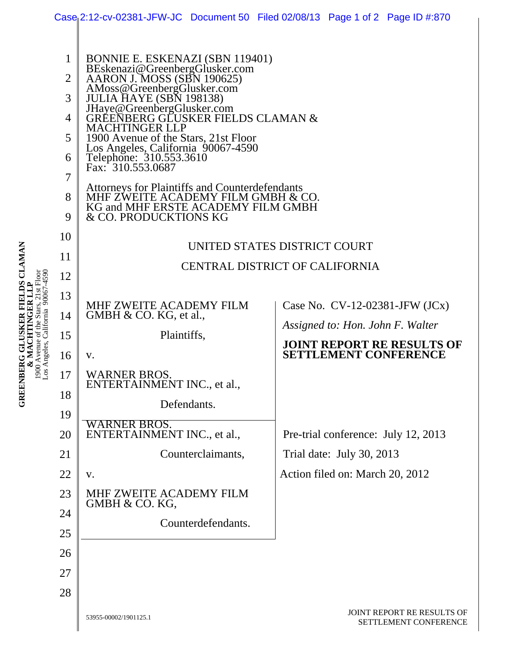|                                                                                                                                   |                |                                                                                                                                                            | Case 2:12-cv-02381-JFW-JC Document 50 Filed 02/08/13 Page 1 of 2 Page ID #:870 |  |
|-----------------------------------------------------------------------------------------------------------------------------------|----------------|------------------------------------------------------------------------------------------------------------------------------------------------------------|--------------------------------------------------------------------------------|--|
| GREENBERG GLUSKER FIELDS CLAMAN<br>Los Angeles, California 90067-4590<br>21st Floor<br>GER LLI<br>& MACHTIN<br>1900 Avenue of the | $\mathbf{1}$   | BONNIE E. ESKENAZI (SBN 119401)<br>BEskenazi@GreenbergGlusker.com<br>AARON J. MOSS (SBN 190625)                                                            |                                                                                |  |
|                                                                                                                                   | $\overline{2}$ |                                                                                                                                                            |                                                                                |  |
|                                                                                                                                   | 3              | AMoss@GreenbergGlusker.com                                                                                                                                 |                                                                                |  |
|                                                                                                                                   | $\overline{4}$ | JHaye@GreenbergGlusker.com<br>GREENBERG GLUSKER FIELDS CLAMAN &<br><b>MACHTINGER LLP</b>                                                                   |                                                                                |  |
|                                                                                                                                   | 5              | 1900 Avenue of the Stars, 21st Floor<br>Los Angeles, California 90067-4590<br>Telephone: 310.553.3610                                                      |                                                                                |  |
|                                                                                                                                   | 6              | Fax: 310.553.0687                                                                                                                                          |                                                                                |  |
|                                                                                                                                   | 7              | <b>Attorneys for Plaintiffs and Counterdefendants</b><br>MHF ZWEITE ACADEMY FILM GMBH & CO.<br>KG and MHF ERSTE ACADEMY FILM GMBH<br>& CO. PRODUCKTIONS KG |                                                                                |  |
|                                                                                                                                   | 8<br>9         |                                                                                                                                                            |                                                                                |  |
|                                                                                                                                   | 10             | UNITED STATES DISTRICT COURT<br><b>CENTRAL DISTRICT OF CALIFORNIA</b>                                                                                      |                                                                                |  |
|                                                                                                                                   | 11             |                                                                                                                                                            |                                                                                |  |
|                                                                                                                                   | 12             |                                                                                                                                                            |                                                                                |  |
|                                                                                                                                   | 13             | MHF ZWEITE ACADEMY FILM                                                                                                                                    | Case No. $CV-12-02381-JFW (JCx)$                                               |  |
|                                                                                                                                   | 14             | GMBH $& CO.$ KG, et al.,                                                                                                                                   | Assigned to: Hon. John F. Walter                                               |  |
|                                                                                                                                   | 15             | Plaintiffs,                                                                                                                                                | <b>JOINT REPORT RE RESULTS OF</b>                                              |  |
|                                                                                                                                   | 16             | V.                                                                                                                                                         | <b>SETTLEMENT CONFERENCE</b>                                                   |  |
|                                                                                                                                   | 17             | <b>WARNER BROS.</b><br>ENTERTAINMENT INC., et al.,                                                                                                         |                                                                                |  |
|                                                                                                                                   | 18             | Defendants.                                                                                                                                                |                                                                                |  |
|                                                                                                                                   | 19<br>20       | WARNER BROS.<br>ENTERTAINMENT INC., et al.,                                                                                                                | Pre-trial conference: July 12, 2013                                            |  |
|                                                                                                                                   | 21             | Counterclaimants,                                                                                                                                          | Trial date: July 30, 2013                                                      |  |
|                                                                                                                                   | 22             | V.                                                                                                                                                         | Action filed on: March 20, 2012                                                |  |
|                                                                                                                                   | 23             | MHF ZWEITE ACADEMY FILM<br>GMBH & CO. KG,                                                                                                                  |                                                                                |  |
|                                                                                                                                   | 24             | Counterdefendants.                                                                                                                                         |                                                                                |  |
|                                                                                                                                   | 25             |                                                                                                                                                            |                                                                                |  |
|                                                                                                                                   | 26             |                                                                                                                                                            |                                                                                |  |
|                                                                                                                                   | 27             |                                                                                                                                                            |                                                                                |  |
|                                                                                                                                   | 28             |                                                                                                                                                            |                                                                                |  |
|                                                                                                                                   |                | 53955-00002/1901125.1                                                                                                                                      | JOINT REPORT RE RESULTS OF<br>SETTLEMENT CONFERENCE                            |  |